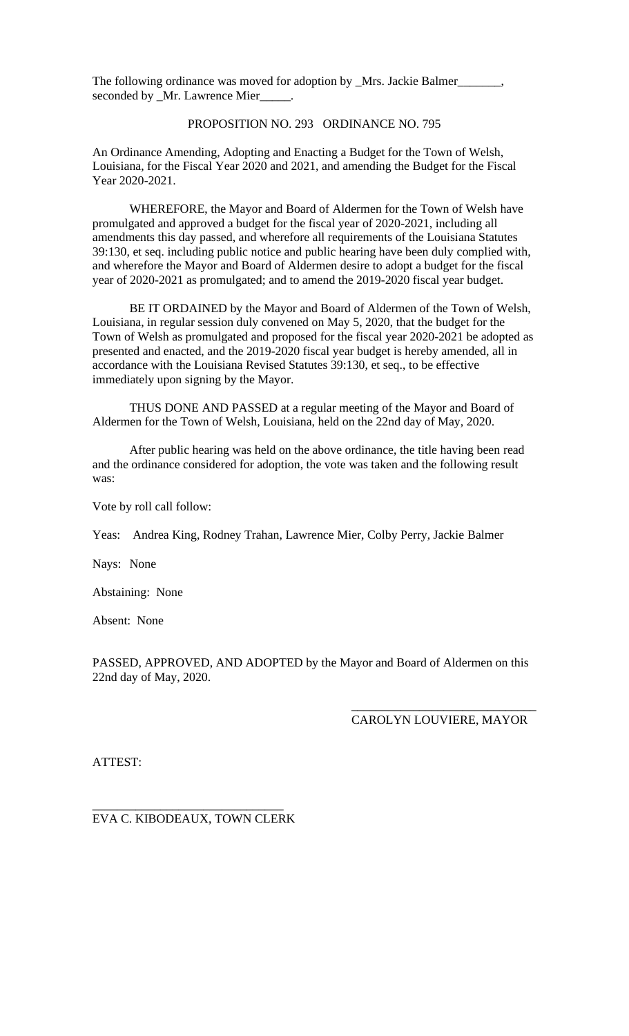The following ordinance was moved for adoption by \_Mrs. Jackie Balmer\_\_\_\_\_ seconded by \_Mr. Lawrence Mier\_

## PROPOSITION NO. 293 ORDINANCE NO. 795

An Ordinance Amending, Adopting and Enacting a Budget for the Town of Welsh, Louisiana, for the Fiscal Year 2020 and 2021, and amending the Budget for the Fiscal Year 2020-2021.

WHEREFORE, the Mayor and Board of Aldermen for the Town of Welsh have promulgated and approved a budget for the fiscal year of 2020-2021, including all amendments this day passed, and wherefore all requirements of the Louisiana Statutes 39:130, et seq. including public notice and public hearing have been duly complied with, and wherefore the Mayor and Board of Aldermen desire to adopt a budget for the fiscal year of 2020-2021 as promulgated; and to amend the 2019-2020 fiscal year budget.

BE IT ORDAINED by the Mayor and Board of Aldermen of the Town of Welsh, Louisiana, in regular session duly convened on May 5, 2020, that the budget for the Town of Welsh as promulgated and proposed for the fiscal year 2020-2021 be adopted as presented and enacted, and the 2019-2020 fiscal year budget is hereby amended, all in accordance with the Louisiana Revised Statutes 39:130, et seq., to be effective immediately upon signing by the Mayor.

THUS DONE AND PASSED at a regular meeting of the Mayor and Board of Aldermen for the Town of Welsh, Louisiana, held on the 22nd day of May, 2020.

After public hearing was held on the above ordinance, the title having been read and the ordinance considered for adoption, the vote was taken and the following result was:

Vote by roll call follow:

Yeas: Andrea King, Rodney Trahan, Lawrence Mier, Colby Perry, Jackie Balmer

Nays: None

Abstaining: None

Absent: None

PASSED, APPROVED, AND ADOPTED by the Mayor and Board of Aldermen on this 22nd day of May, 2020.

## \_\_\_\_\_\_\_\_\_\_\_\_\_\_\_\_\_\_\_\_\_\_\_\_\_\_\_\_\_\_ CAROLYN LOUVIERE, MAYOR

ATTEST:

\_\_\_\_\_\_\_\_\_\_\_\_\_\_\_\_\_\_\_\_\_\_\_\_\_\_\_\_\_\_\_ EVA C. KIBODEAUX, TOWN CLERK